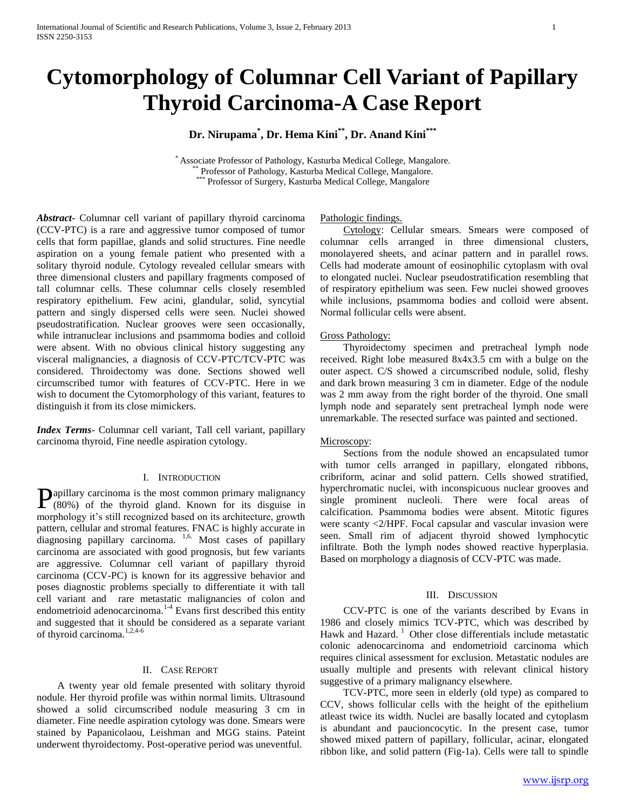# **Cytomorphology of Columnar Cell Variant of Papillary Thyroid Carcinoma-A Case Report**

**Dr. Nirupama\* , Dr. Hema Kini\*\* , Dr. Anand Kini\*\*\***

\* Associate Professor of Pathology, Kasturba Medical College, Mangalore. \* Professor of Pathology, Kasturba Medical College, Mangalore. Professor of Surgery, Kasturba Medical College, Mangalore

*Abstract***-** Columnar cell variant of papillary thyroid carcinoma (CCV-PTC) is a rare and aggressive tumor composed of tumor cells that form papillae, glands and solid structures. Fine needle aspiration on a young female patient who presented with a solitary thyroid nodule. Cytology revealed cellular smears with three dimensional clusters and papillary fragments composed of tall columnar cells. These columnar cells closely resembled respiratory epithelium. Few acini, glandular, solid, syncytial pattern and singly dispersed cells were seen. Nuclei showed pseudostratification. Nuclear grooves were seen occasionally, while intranuclear inclusions and psammoma bodies and colloid were absent. With no obvious clinical history suggesting any visceral malignancies, a diagnosis of CCV-PTC/TCV-PTC was considered. Throidectomy was done. Sections showed well circumscribed tumor with features of CCV-PTC. Here in we wish to document the Cytomorphology of this variant, features to distinguish it from its close mimickers.

*Index Terms*- Columnar cell variant, Tall cell variant, papillary carcinoma thyroid, Fine needle aspiration cytology.

# I. INTRODUCTION

 $\mathbf{P}_{(80\%)}$  of the thyroid gland. Known for its disguise in (80%) of the thyroid gland. Known for its disguise in morphology it's still recognized based on its architecture, growth pattern, cellular and stromal features. FNAC is highly accurate in diagnosing papillary carcinoma. <sup>1,6.</sup> Most cases of papillary carcinoma are associated with good prognosis, but few variants are aggressive. Columnar cell variant of papillary thyroid carcinoma (CCV-PC) is known for its aggressive behavior and poses diagnostic problems specially to differentiate it with tall cell variant and rare metastatic malignancies of colon and endometrioid adenocarcinoma.<sup>1-4</sup> Evans first described this entity and suggested that it should be considered as a separate variant of thyroid carcinoma.<sup>1,2,4-6</sup>

## II. CASE REPORT

 A twenty year old female presented with solitary thyroid nodule. Her thyroid profile was within normal limits. Ultrasound showed a solid circumscribed nodule measuring 3 cm in diameter. Fine needle aspiration cytology was done. Smears were stained by Papanicolaou, Leishman and MGG stains. Pateint underwent thyroidectomy. Post-operative period was uneventful.

Pathologic findings.

Cytology: Cellular smears. Smears were composed of columnar cells arranged in three dimensional clusters, monolayered sheets, and acinar pattern and in parallel rows. Cells had moderate amount of eosinophilic cytoplasm with oval to elongated nuclei. Nuclear pseudostratification resembling that of respiratory epithelium was seen. Few nuclei showed grooves while inclusions, psammoma bodies and colloid were absent. Normal follicular cells were absent.

## Gross Pathology:

 Thyroidectomy specimen and pretracheal lymph node received. Right lobe measured 8x4x3.5 cm with a bulge on the outer aspect. C/S showed a circumscribed nodule, solid, fleshy and dark brown measuring 3 cm in diameter. Edge of the nodule was 2 mm away from the right border of the thyroid. One small lymph node and separately sent pretracheal lymph node were unremarkable. The resected surface was painted and sectioned.

## Microscopy:

 Sections from the nodule showed an encapsulated tumor with tumor cells arranged in papillary, elongated ribbons, cribriform, acinar and solid pattern. Cells showed stratified, hyperchromatic nuclei, with inconspicuous nuclear grooves and single prominent nucleoli. There were focal areas of calcification. Psammoma bodies were absent. Mitotic figures were scanty <2/HPF. Focal capsular and vascular invasion were seen. Small rim of adjacent thyroid showed lymphocytic infiltrate. Both the lymph nodes showed reactive hyperplasia. Based on morphology a diagnosis of CCV-PTC was made.

#### III. DISCUSSION

 CCV-PTC is one of the variants described by Evans in 1986 and closely mimics TCV-PTC, which was described by Hawk and Hazard.<sup>1</sup> Other close differentials include metastatic colonic adenocarcinoma and endometrioid carcinoma which requires clinical assessment for exclusion. Metastatic nodules are usually multiple and presents with relevant clinical history suggestive of a primary malignancy elsewhere.

 TCV-PTC, more seen in elderly (old type) as compared to CCV, shows follicular cells with the height of the epithelium atleast twice its width. Nuclei are basally located and cytoplasm is abundant and paucioncocytic. In the present case, tumor showed mixed pattern of papillary, follicular, acinar, elongated ribbon like, and solid pattern (Fig-1a). Cells were tall to spindle